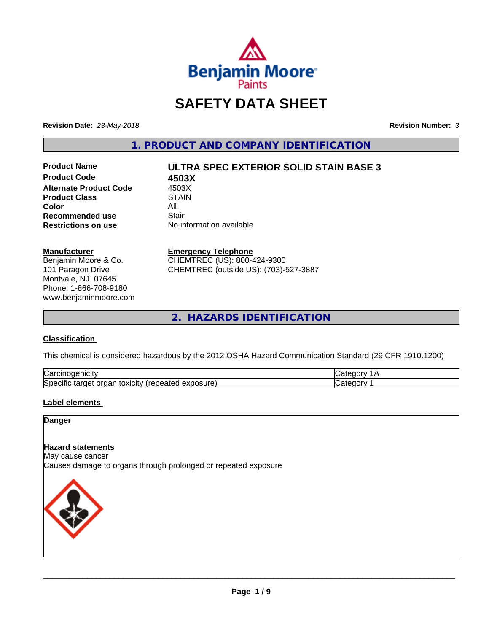

## **SAFETY DATA SHEET**

**Revision Date:** *23-May-2018* **Revision Number:** *3*

**1. PRODUCT AND COMPANY IDENTIFICATION**

**Product Code 4503X Alternate Product Code 4503X<br>Product Class 61 STAIN Product Class Color** All All **Recommended use All Stain Recommended use**<br>Restrictions on use

# **Product Name ULTRA SPEC EXTERIOR SOLID STAIN BASE 3**

**Restrictions on use** No information available

#### **Manufacturer**

Benjamin Moore & Co. 101 Paragon Drive Montvale, NJ 07645 Phone: 1-866-708-9180 www.benjaminmoore.com

#### **Emergency Telephone**

CHEMTREC (US): 800-424-9300 CHEMTREC (outside US): (703)-527-3887

**2. HAZARDS IDENTIFICATION**

#### **Classification**

This chemical is considered hazardous by the 2012 OSHA Hazard Communication Standard (29 CFR 1910.1200)

| ∽<br>Nai<br>н                                                                        |  |
|--------------------------------------------------------------------------------------|--|
| lSne<br>.<br>.∪xiCitV ′ ′<br>∼<br>osur<br>ിലെ<br>eared<br>ы<br>'nΘ<br>ж<br>– ^<br>__ |  |

#### **Label elements**

#### **Danger**

#### **Hazard statements**

May cause cancer Causes damage to organs through prolonged or repeated exposure

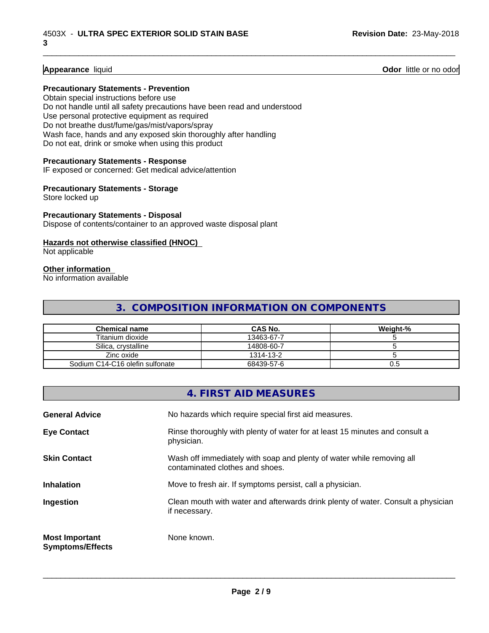**Appearance** liquid **Odor 11** Odor little or no odor

#### **Precautionary Statements - Prevention**

Obtain special instructions before use Do not handle until all safety precautions have been read and understood Use personal protective equipment as required Do not breathe dust/fume/gas/mist/vapors/spray Wash face, hands and any exposed skin thoroughly after handling Do not eat, drink or smoke when using this product

#### **Precautionary Statements - Response**

IF exposed or concerned: Get medical advice/attention

#### **Precautionary Statements - Storage**

Store locked up

#### **Precautionary Statements - Disposal**

Dispose of contents/container to an approved waste disposal plant

#### **Hazards not otherwise classified (HNOC)**

Not applicable

#### **Other information**

No information available

## **3. COMPOSITION INFORMATION ON COMPONENTS**

\_\_\_\_\_\_\_\_\_\_\_\_\_\_\_\_\_\_\_\_\_\_\_\_\_\_\_\_\_\_\_\_\_\_\_\_\_\_\_\_\_\_\_\_\_\_\_\_\_\_\_\_\_\_\_\_\_\_\_\_\_\_\_\_\_\_\_\_\_\_\_\_\_\_\_\_\_\_\_\_\_\_\_\_\_\_\_\_\_\_\_\_\_

| <b>Chemical name</b>            | <b>CAS No.</b> | Weight-% |
|---------------------------------|----------------|----------|
| Titanium dioxide                | 13463-67-7     |          |
| Silica, crystalline             | 14808-60-7     |          |
| Zinc oxide                      | 1314-13-2      |          |
| Sodium C14-C16 olefin sulfonate | 68439-57-6     | U.5      |

### **4. FIRST AID MEASURES**

| <b>General Advice</b>                            | No hazards which require special first aid measures.                                                     |  |
|--------------------------------------------------|----------------------------------------------------------------------------------------------------------|--|
| <b>Eye Contact</b>                               | Rinse thoroughly with plenty of water for at least 15 minutes and consult a<br>physician.                |  |
| <b>Skin Contact</b>                              | Wash off immediately with soap and plenty of water while removing all<br>contaminated clothes and shoes. |  |
| <b>Inhalation</b>                                | Move to fresh air. If symptoms persist, call a physician.                                                |  |
| Ingestion                                        | Clean mouth with water and afterwards drink plenty of water. Consult a physician<br>if necessary.        |  |
| <b>Most Important</b><br><b>Symptoms/Effects</b> | None known.                                                                                              |  |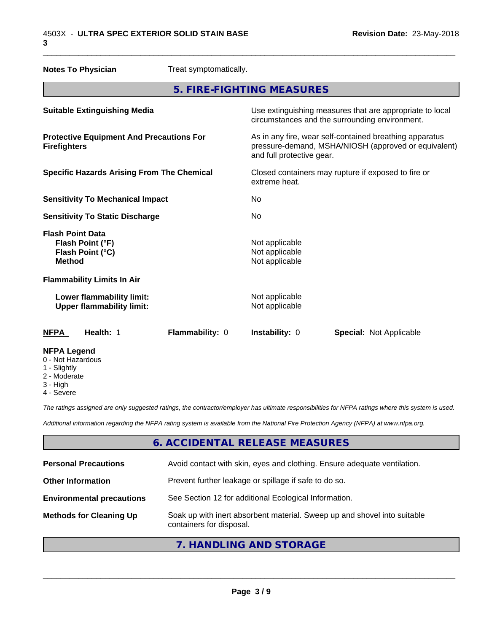| <b>Notes To Physician</b>                                                        | Treat symptomatically. |                                                                                                            |                                                                                                                 |  |
|----------------------------------------------------------------------------------|------------------------|------------------------------------------------------------------------------------------------------------|-----------------------------------------------------------------------------------------------------------------|--|
|                                                                                  |                        | 5. FIRE-FIGHTING MEASURES                                                                                  |                                                                                                                 |  |
| <b>Suitable Extinguishing Media</b>                                              |                        | Use extinguishing measures that are appropriate to local<br>circumstances and the surrounding environment. |                                                                                                                 |  |
| <b>Protective Equipment And Precautions For</b><br><b>Firefighters</b>           |                        | and full protective gear.                                                                                  | As in any fire, wear self-contained breathing apparatus<br>pressure-demand, MSHA/NIOSH (approved or equivalent) |  |
| <b>Specific Hazards Arising From The Chemical</b>                                |                        | Closed containers may rupture if exposed to fire or<br>extreme heat.                                       |                                                                                                                 |  |
| <b>Sensitivity To Mechanical Impact</b>                                          |                        | No                                                                                                         |                                                                                                                 |  |
| <b>Sensitivity To Static Discharge</b>                                           |                        | No                                                                                                         |                                                                                                                 |  |
| <b>Flash Point Data</b><br>Flash Point (°F)<br>Flash Point (°C)<br><b>Method</b> |                        | Not applicable<br>Not applicable<br>Not applicable                                                         |                                                                                                                 |  |
| <b>Flammability Limits In Air</b>                                                |                        |                                                                                                            |                                                                                                                 |  |
| Lower flammability limit:<br><b>Upper flammability limit:</b>                    |                        | Not applicable<br>Not applicable                                                                           |                                                                                                                 |  |
| <b>NFPA</b><br>Health: 1                                                         | Flammability: 0        | Instability: 0                                                                                             | <b>Special: Not Applicable</b>                                                                                  |  |
| <b>NFPA Legend</b><br>0 - Not Hazardous<br>1 - Slightly                          |                        |                                                                                                            |                                                                                                                 |  |

- 2 Moderate
- 
- 3 High
- 4 Severe

*The ratings assigned are only suggested ratings, the contractor/employer has ultimate responsibilities for NFPA ratings where this system is used.*

*Additional information regarding the NFPA rating system is available from the National Fire Protection Agency (NFPA) at www.nfpa.org.*

## **6. ACCIDENTAL RELEASE MEASURES**

| <b>Personal Precautions</b>      | Avoid contact with skin, eyes and clothing. Ensure adequate ventilation.                             |
|----------------------------------|------------------------------------------------------------------------------------------------------|
| <b>Other Information</b>         | Prevent further leakage or spillage if safe to do so.                                                |
| <b>Environmental precautions</b> | See Section 12 for additional Ecological Information.                                                |
| <b>Methods for Cleaning Up</b>   | Soak up with inert absorbent material. Sweep up and shovel into suitable<br>containers for disposal. |
|                                  |                                                                                                      |

## **7. HANDLING AND STORAGE**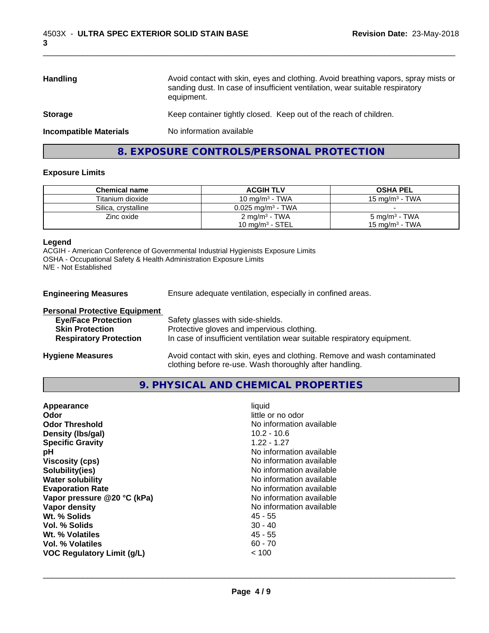| <b>Handling</b>               | Avoid contact with skin, eyes and clothing. Avoid breathing vapors, spray mists or<br>sanding dust. In case of insufficient ventilation, wear suitable respiratory<br>equipment. |
|-------------------------------|----------------------------------------------------------------------------------------------------------------------------------------------------------------------------------|
| <b>Storage</b>                | Keep container tightly closed. Keep out of the reach of children.                                                                                                                |
| <b>Incompatible Materials</b> | No information available                                                                                                                                                         |
|                               |                                                                                                                                                                                  |

## **8. EXPOSURE CONTROLS/PERSONAL PROTECTION**

#### **Exposure Limits**

| <b>Chemical name</b> | <b>ACGIH TLV</b>             | <b>OSHA PEL</b>           |
|----------------------|------------------------------|---------------------------|
| Titanium dioxide     | 10 mg/m <sup>3</sup> - TWA   | 15 mg/m $3$ - TWA         |
| Silica, crystalline  | $0.025 \text{ ma/m}^3$ - TWA |                           |
| Zinc oxide           | 2 mg/m <sup>3</sup> - TWA    | 5 mg/m <sup>3</sup> - TWA |
|                      | 10 mg/m $3$ - STEL           | 15 mg/m $^3$ - TWA        |

#### **Legend**

ACGIH - American Conference of Governmental Industrial Hygienists Exposure Limits OSHA - Occupational Safety & Health Administration Exposure Limits N/E - Not Established

**Engineering Measures** Ensure adequate ventilation, especially in confined areas.

| <b>Personal Protective Equipment</b> |                                                                                                                                     |
|--------------------------------------|-------------------------------------------------------------------------------------------------------------------------------------|
| <b>Eye/Face Protection</b>           | Safety glasses with side-shields.                                                                                                   |
| <b>Skin Protection</b>               | Protective gloves and impervious clothing.                                                                                          |
| <b>Respiratory Protection</b>        | In case of insufficient ventilation wear suitable respiratory equipment.                                                            |
| <b>Hygiene Measures</b>              | Avoid contact with skin, eyes and clothing. Remove and wash contaminated<br>clothing before re-use. Wash thoroughly after handling. |

#### **9. PHYSICAL AND CHEMICAL PROPERTIES**

| Appearance                        | liquid                   |
|-----------------------------------|--------------------------|
| Odor                              | little or no odor        |
| <b>Odor Threshold</b>             | No information available |
| Density (Ibs/gal)                 | $10.2 - 10.6$            |
| <b>Specific Gravity</b>           | $1.22 - 1.27$            |
| рH                                | No information available |
| <b>Viscosity (cps)</b>            | No information available |
| Solubility(ies)                   | No information available |
| <b>Water solubility</b>           | No information available |
| <b>Evaporation Rate</b>           | No information available |
| Vapor pressure @20 °C (kPa)       | No information available |
| Vapor density                     | No information available |
| Wt. % Solids                      | 45 - 55                  |
| Vol. % Solids                     | $30 - 40$                |
| Wt. % Volatiles                   | 45 - 55                  |
| Vol. % Volatiles                  | $60 - 70$                |
| <b>VOC Regulatory Limit (g/L)</b> | ~< 100                   |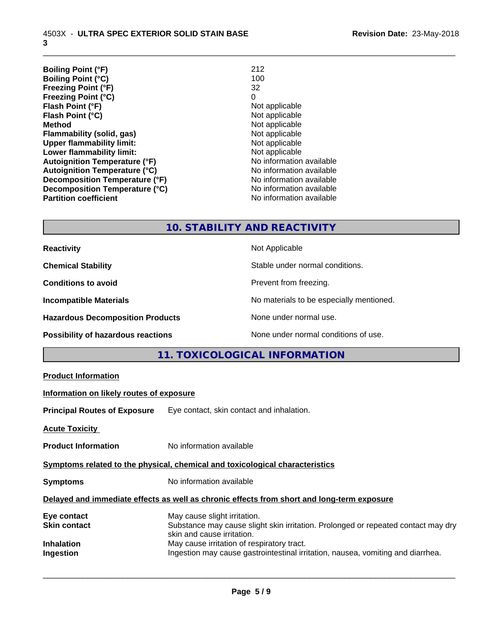| <b>Boiling Point (°F)</b>            | 212                      |
|--------------------------------------|--------------------------|
| <b>Boiling Point (°C)</b>            | 100                      |
| <b>Freezing Point (°F)</b>           | 32                       |
| <b>Freezing Point (°C)</b>           | 0                        |
| Flash Point (°F)                     | Not applicable           |
| Flash Point (°C)                     | Not applicable           |
| <b>Method</b>                        | Not applicable           |
| Flammability (solid, gas)            | Not applicable           |
| <b>Upper flammability limit:</b>     | Not applicable           |
| Lower flammability limit:            | Not applicable           |
| <b>Autoignition Temperature (°F)</b> | No information available |
| <b>Autoignition Temperature (°C)</b> | No information available |
| Decomposition Temperature (°F)       | No information available |
| Decomposition Temperature (°C)       | No information available |
| <b>Partition coefficient</b>         | No information available |

\_\_\_\_\_\_\_\_\_\_\_\_\_\_\_\_\_\_\_\_\_\_\_\_\_\_\_\_\_\_\_\_\_\_\_\_\_\_\_\_\_\_\_\_\_\_\_\_\_\_\_\_\_\_\_\_\_\_\_\_\_\_\_\_\_\_\_\_\_\_\_\_\_\_\_\_\_\_\_\_\_\_\_\_\_\_\_\_\_\_\_\_\_

## **10. STABILITY AND REACTIVITY**

| <b>Reactivity</b>                         | Not Applicable                           |
|-------------------------------------------|------------------------------------------|
| <b>Chemical Stability</b>                 | Stable under normal conditions.          |
| <b>Conditions to avoid</b>                | Prevent from freezing.                   |
| <b>Incompatible Materials</b>             | No materials to be especially mentioned. |
| <b>Hazardous Decomposition Products</b>   | None under normal use.                   |
| <b>Possibility of hazardous reactions</b> | None under normal conditions of use.     |

## **11. TOXICOLOGICAL INFORMATION**

| <b>Product Information</b>               |                                                                                                                                                 |
|------------------------------------------|-------------------------------------------------------------------------------------------------------------------------------------------------|
| Information on likely routes of exposure |                                                                                                                                                 |
|                                          | <b>Principal Routes of Exposure</b> Eye contact, skin contact and inhalation.                                                                   |
| <b>Acute Toxicity</b>                    |                                                                                                                                                 |
| <b>Product Information</b>               | No information available                                                                                                                        |
|                                          | Symptoms related to the physical, chemical and toxicological characteristics                                                                    |
| Symptoms                                 | No information available                                                                                                                        |
|                                          | Delayed and immediate effects as well as chronic effects from short and long-term exposure                                                      |
| Eye contact<br>Skin contact              | May cause slight irritation.<br>Substance may cause slight skin irritation. Prolonged or repeated contact may dry<br>skin and cause irritation. |
| Inhalation<br>Ingestion                  | May cause irritation of respiratory tract.<br>Ingestion may cause gastrointestinal irritation, nausea, vomiting and diarrhea.                   |
|                                          |                                                                                                                                                 |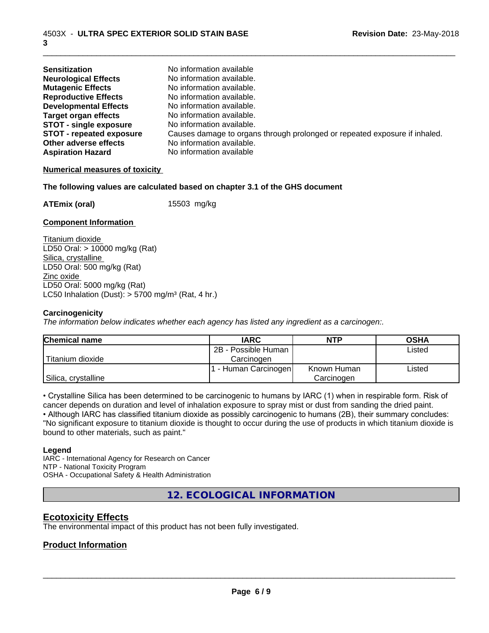| <b>Sensitization</b>            | No information available                                                   |
|---------------------------------|----------------------------------------------------------------------------|
| <b>Neurological Effects</b>     | No information available.                                                  |
| <b>Mutagenic Effects</b>        | No information available.                                                  |
| <b>Reproductive Effects</b>     | No information available.                                                  |
| <b>Developmental Effects</b>    | No information available.                                                  |
| <b>Target organ effects</b>     | No information available.                                                  |
| <b>STOT - single exposure</b>   | No information available.                                                  |
| <b>STOT - repeated exposure</b> | Causes damage to organs through prolonged or repeated exposure if inhaled. |
| Other adverse effects           | No information available.                                                  |
| <b>Aspiration Hazard</b>        | No information available                                                   |

#### **Numerical measures of toxicity**

#### **The following values are calculated based on chapter 3.1 of the GHS document**

**ATEmix (oral)** 15503 mg/kg

#### **Component Information**

Titanium dioxide LD50 Oral: > 10000 mg/kg (Rat) Silica, crystalline LD50 Oral: 500 mg/kg (Rat) Zinc oxide LD50 Oral: 5000 mg/kg (Rat) LC50 Inhalation (Dust):  $> 5700$  mg/m<sup>3</sup> (Rat, 4 hr.)

#### **Carcinogenicity**

*The information below indicateswhether each agency has listed any ingredient as a carcinogen:.*

| <b>Chemical name</b> | <b>IARC</b>         | NTP         | <b>OSHA</b> |
|----------------------|---------------------|-------------|-------------|
|                      | 2B - Possible Human |             | Listed      |
| Titanium dioxide     | Carcinoɑen          |             |             |
|                      | - Human Carcinogen  | Known Human | Listed      |
| Silica, crystalline  |                     | Carcinogen  |             |

• Crystalline Silica has been determined to be carcinogenic to humans by IARC (1) when in respirable form. Risk of cancer depends on duration and level of inhalation exposure to spray mist or dust from sanding the dried paint.

• Although IARC has classified titanium dioxide as possibly carcinogenic to humans (2B), their summary concludes: "No significant exposure to titanium dioxide is thought to occur during the use of products in which titanium dioxide is bound to other materials, such as paint."

#### **Legend**

IARC - International Agency for Research on Cancer NTP - National Toxicity Program OSHA - Occupational Safety & Health Administration

**12. ECOLOGICAL INFORMATION**

#### **Ecotoxicity Effects**

The environmental impact of this product has not been fully investigated.

#### **Product Information**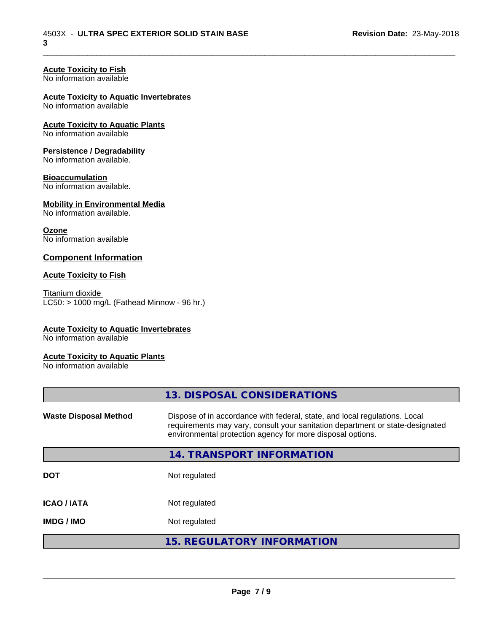## **Acute Toxicity to Fish**

No information available

#### **Acute Toxicity to Aquatic Invertebrates**

No information available

#### **Acute Toxicity to Aquatic Plants** No information available

## **Persistence / Degradability**

No information available.

#### **Bioaccumulation**

No information available.

### **Mobility in Environmental Media**

No information available.

#### **Ozone**

No information available

#### **Component Information**

#### **Acute Toxicity to Fish**

Titanium dioxide  $LC50:$  > 1000 mg/L (Fathead Minnow - 96 hr.)

#### **Acute Toxicity to Aquatic Invertebrates**

No information available

#### **Acute Toxicity to Aquatic Plants**

No information available

|                              | 13. DISPOSAL CONSIDERATIONS                                                                                                                                                                                               |
|------------------------------|---------------------------------------------------------------------------------------------------------------------------------------------------------------------------------------------------------------------------|
| <b>Waste Disposal Method</b> | Dispose of in accordance with federal, state, and local regulations. Local<br>requirements may vary, consult your sanitation department or state-designated<br>environmental protection agency for more disposal options. |
|                              | 14. TRANSPORT INFORMATION                                                                                                                                                                                                 |
| <b>DOT</b>                   | Not regulated                                                                                                                                                                                                             |
| <b>ICAO/IATA</b>             | Not regulated                                                                                                                                                                                                             |
| <b>IMDG / IMO</b>            | Not regulated                                                                                                                                                                                                             |
|                              | <b>15. REGULATORY INFORMATION</b>                                                                                                                                                                                         |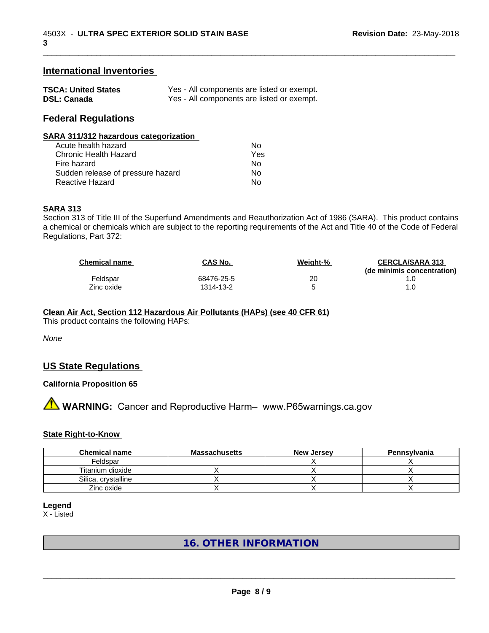#### **International Inventories**

| <b>TSCA: United States</b> | Yes - All components are listed or exempt. |
|----------------------------|--------------------------------------------|
| <b>DSL: Canada</b>         | Yes - All components are listed or exempt. |

#### **Federal Regulations**

| SARA 311/312 hazardous categorization                                                                                                                                                                                          |  |
|--------------------------------------------------------------------------------------------------------------------------------------------------------------------------------------------------------------------------------|--|
| A contract the set of the set of the set of the set of the set of the set of the set of the set of the set of the set of the set of the set of the set of the set of the set of the set of the set of the set of the set of th |  |

| Acute health hazard               | Nο  |
|-----------------------------------|-----|
| Chronic Health Hazard             | Yes |
| Fire hazard                       | Nο  |
| Sudden release of pressure hazard | N٥  |
| Reactive Hazard                   | N٥  |

#### **SARA 313**

Section 313 of Title III of the Superfund Amendments and Reauthorization Act of 1986 (SARA). This product contains a chemical or chemicals which are subject to the reporting requirements of the Act and Title 40 of the Code of Federal Regulations, Part 372:

| <b>Chemical name</b> | CAS No.    | Weight-% | <b>CERCLA/SARA 313</b><br>(de minimis concentration) |
|----------------------|------------|----------|------------------------------------------------------|
| Feldspar             | 68476-25-5 | 20       |                                                      |
| Zinc oxide           | 1314-13-2  |          |                                                      |

\_\_\_\_\_\_\_\_\_\_\_\_\_\_\_\_\_\_\_\_\_\_\_\_\_\_\_\_\_\_\_\_\_\_\_\_\_\_\_\_\_\_\_\_\_\_\_\_\_\_\_\_\_\_\_\_\_\_\_\_\_\_\_\_\_\_\_\_\_\_\_\_\_\_\_\_\_\_\_\_\_\_\_\_\_\_\_\_\_\_\_\_\_

## **Clean Air Act,Section 112 Hazardous Air Pollutants (HAPs) (see 40 CFR 61)**

This product contains the following HAPs:

*None*

## **US State Regulations**

#### **California Proposition 65**

**A** WARNING: Cancer and Reproductive Harm– www.P65warnings.ca.gov

#### **State Right-to-Know**

| <b>Chemical name</b> | <b>Massachusetts</b> | <b>New Jersey</b> | Pennsylvania |
|----------------------|----------------------|-------------------|--------------|
| Feldspar             |                      |                   |              |
| Titanium dioxide     |                      |                   |              |
| Silica, crystalline  |                      |                   |              |
| Zinc oxide           |                      |                   |              |

**Legend**

X - Listed

## **16. OTHER INFORMATION**